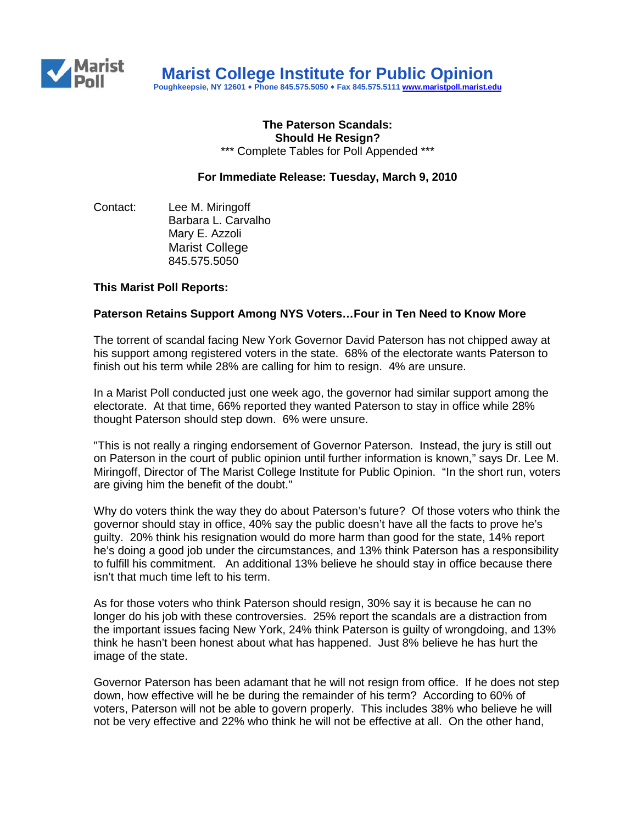

**Poughkeepsie, NY 12601 Phone 845.575.5050 Fax 845.575.5111 [www.maristpoll.marist.edu](http://www.maristpoll.marist.edu/)**

#### **The Paterson Scandals: Should He Resign?** \*\*\* Complete Tables for Poll Appended \*\*\*

# **For Immediate Release: Tuesday, March 9, 2010**

Contact: Lee M. Miringoff Barbara L. Carvalho Mary E. Azzoli Marist College 845.575.5050

# **This Marist Poll Reports:**

# **Paterson Retains Support Among NYS Voters…Four in Ten Need to Know More**

The torrent of scandal facing New York Governor David Paterson has not chipped away at his support among registered voters in the state. 68% of the electorate wants Paterson to finish out his term while 28% are calling for him to resign. 4% are unsure.

In a Marist Poll conducted just one week ago, the governor had similar support among the electorate. At that time, 66% reported they wanted Paterson to stay in office while 28% thought Paterson should step down. 6% were unsure.

"This is not really a ringing endorsement of Governor Paterson. Instead, the jury is still out on Paterson in the court of public opinion until further information is known," says Dr. Lee M. Miringoff, Director of The Marist College Institute for Public Opinion. "In the short run, voters are giving him the benefit of the doubt."

Why do voters think the way they do about Paterson's future? Of those voters who think the governor should stay in office, 40% say the public doesn't have all the facts to prove he's guilty. 20% think his resignation would do more harm than good for the state, 14% report he's doing a good job under the circumstances, and 13% think Paterson has a responsibility to fulfill his commitment. An additional 13% believe he should stay in office because there isn't that much time left to his term.

As for those voters who think Paterson should resign, 30% say it is because he can no longer do his job with these controversies. 25% report the scandals are a distraction from the important issues facing New York, 24% think Paterson is guilty of wrongdoing, and 13% think he hasn't been honest about what has happened. Just 8% believe he has hurt the image of the state.

Governor Paterson has been adamant that he will not resign from office. If he does not step down, how effective will he be during the remainder of his term? According to 60% of voters, Paterson will not be able to govern properly. This includes 38% who believe he will not be very effective and 22% who think he will not be effective at all. On the other hand,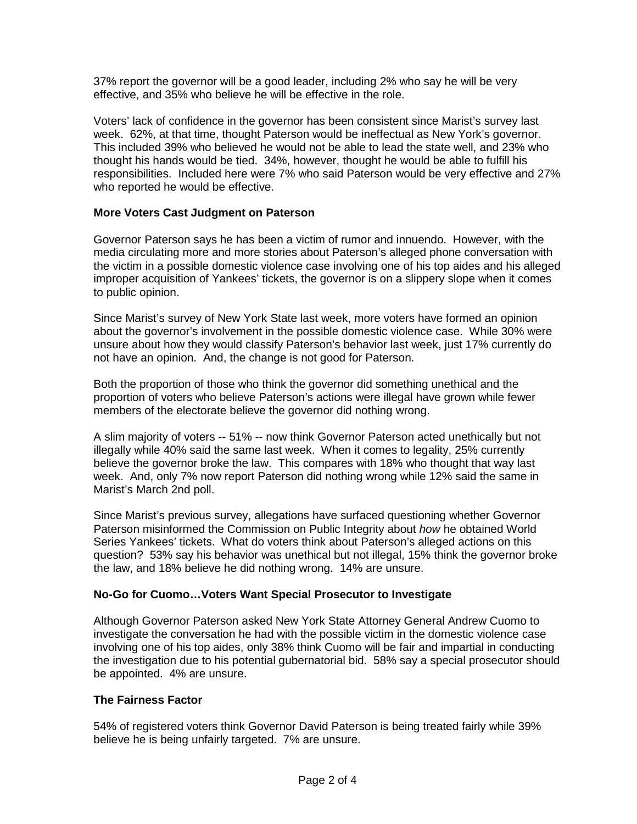37% report the governor will be a good leader, including 2% who say he will be very effective, and 35% who believe he will be effective in the role.

Voters' lack of confidence in the governor has been consistent since Marist's survey last week. 62%, at that time, thought Paterson would be ineffectual as New York's governor. This included 39% who believed he would not be able to lead the state well, and 23% who thought his hands would be tied. 34%, however, thought he would be able to fulfill his responsibilities. Included here were 7% who said Paterson would be very effective and 27% who reported he would be effective.

# **More Voters Cast Judgment on Paterson**

Governor Paterson says he has been a victim of rumor and innuendo. However, with the media circulating more and more stories about Paterson's alleged phone conversation with the victim in a possible domestic violence case involving one of his top aides and his alleged improper acquisition of Yankees' tickets, the governor is on a slippery slope when it comes to public opinion.

Since Marist's survey of New York State last week, more voters have formed an opinion about the governor's involvement in the possible domestic violence case. While 30% were unsure about how they would classify Paterson's behavior last week, just 17% currently do not have an opinion. And, the change is not good for Paterson.

Both the proportion of those who think the governor did something unethical and the proportion of voters who believe Paterson's actions were illegal have grown while fewer members of the electorate believe the governor did nothing wrong.

A slim majority of voters -- 51% -- now think Governor Paterson acted unethically but not illegally while 40% said the same last week. When it comes to legality, 25% currently believe the governor broke the law. This compares with 18% who thought that way last week. And, only 7% now report Paterson did nothing wrong while 12% said the same in Marist's March 2nd poll.

Since Marist's previous survey, allegations have surfaced questioning whether Governor Paterson misinformed the Commission on Public Integrity about *how* he obtained World Series Yankees' tickets. What do voters think about Paterson's alleged actions on this question? 53% say his behavior was unethical but not illegal, 15% think the governor broke the law, and 18% believe he did nothing wrong. 14% are unsure.

# **No-Go for Cuomo…Voters Want Special Prosecutor to Investigate**

Although Governor Paterson asked New York State Attorney General Andrew Cuomo to investigate the conversation he had with the possible victim in the domestic violence case involving one of his top aides, only 38% think Cuomo will be fair and impartial in conducting the investigation due to his potential gubernatorial bid. 58% say a special prosecutor should be appointed. 4% are unsure.

#### **The Fairness Factor**

54% of registered voters think Governor David Paterson is being treated fairly while 39% believe he is being unfairly targeted. 7% are unsure.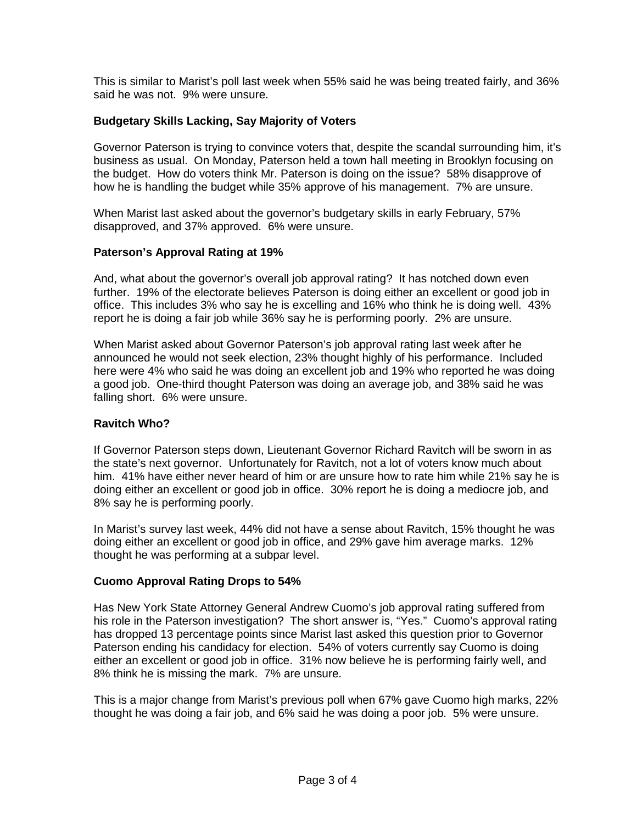This is similar to Marist's poll last week when 55% said he was being treated fairly, and 36% said he was not. 9% were unsure.

# **Budgetary Skills Lacking, Say Majority of Voters**

Governor Paterson is trying to convince voters that, despite the scandal surrounding him, it's business as usual. On Monday, Paterson held a town hall meeting in Brooklyn focusing on the budget. How do voters think Mr. Paterson is doing on the issue? 58% disapprove of how he is handling the budget while 35% approve of his management. 7% are unsure.

When Marist last asked about the governor's budgetary skills in early February, 57% disapproved, and 37% approved. 6% were unsure.

# **Paterson's Approval Rating at 19%**

And, what about the governor's overall job approval rating? It has notched down even further. 19% of the electorate believes Paterson is doing either an excellent or good job in office. This includes 3% who say he is excelling and 16% who think he is doing well. 43% report he is doing a fair job while 36% say he is performing poorly. 2% are unsure.

When Marist asked about Governor Paterson's job approval rating last week after he announced he would not seek election, 23% thought highly of his performance. Included here were 4% who said he was doing an excellent job and 19% who reported he was doing a good job. One-third thought Paterson was doing an average job, and 38% said he was falling short. 6% were unsure.

# **Ravitch Who?**

If Governor Paterson steps down, Lieutenant Governor Richard Ravitch will be sworn in as the state's next governor. Unfortunately for Ravitch, not a lot of voters know much about him. 41% have either never heard of him or are unsure how to rate him while 21% say he is doing either an excellent or good job in office. 30% report he is doing a mediocre job, and 8% say he is performing poorly.

In Marist's survey last week, 44% did not have a sense about Ravitch, 15% thought he was doing either an excellent or good job in office, and 29% gave him average marks. 12% thought he was performing at a subpar level.

# **Cuomo Approval Rating Drops to 54%**

Has New York State Attorney General Andrew Cuomo's job approval rating suffered from his role in the Paterson investigation? The short answer is, "Yes." Cuomo's approval rating has dropped 13 percentage points since Marist last asked this question prior to Governor Paterson ending his candidacy for election. 54% of voters currently say Cuomo is doing either an excellent or good job in office. 31% now believe he is performing fairly well, and 8% think he is missing the mark. 7% are unsure.

This is a major change from Marist's previous poll when 67% gave Cuomo high marks, 22% thought he was doing a fair job, and 6% said he was doing a poor job. 5% were unsure.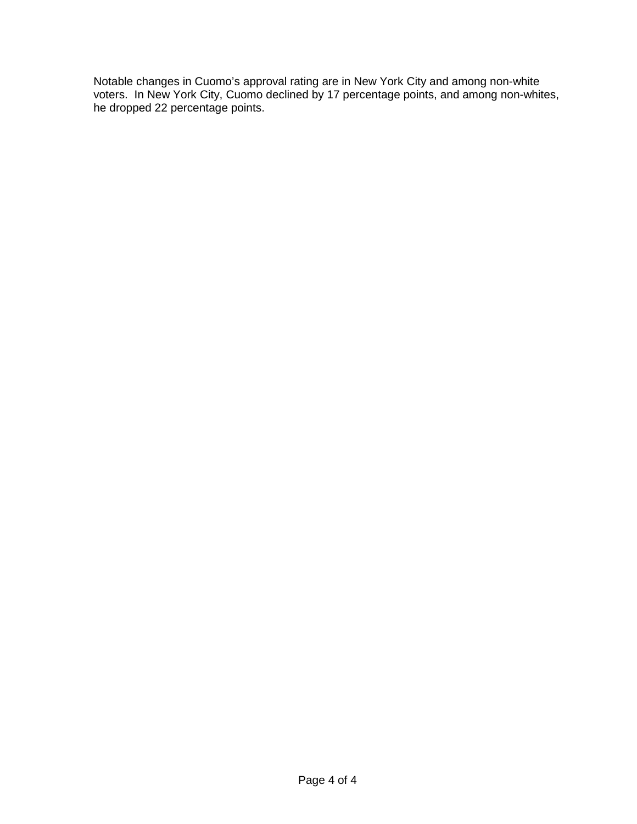Notable changes in Cuomo's approval rating are in New York City and among non-white voters. In New York City, Cuomo declined by 17 percentage points, and among non-whites, he dropped 22 percentage points.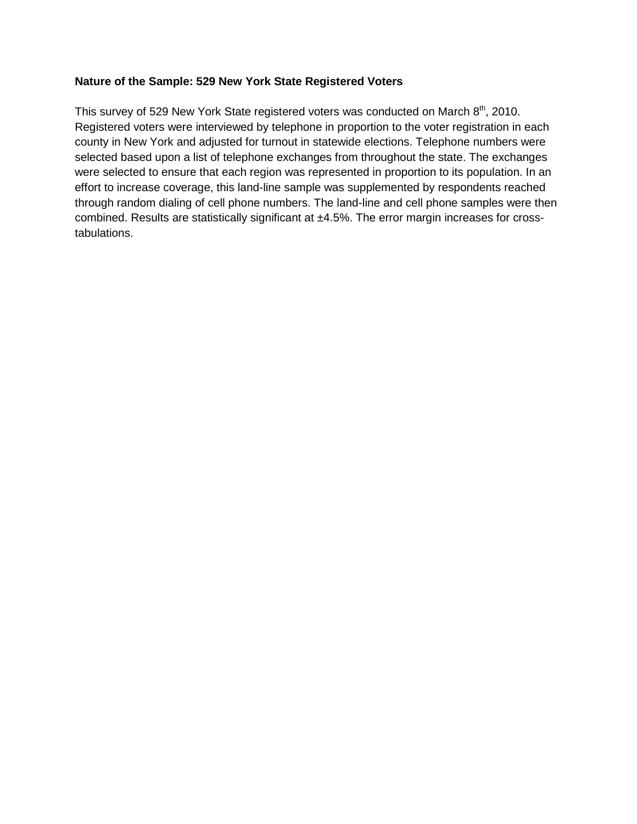# **Nature of the Sample: 529 New York State Registered Voters**

This survey of 529 New York State registered voters was conducted on March 8<sup>th</sup>, 2010. Registered voters were interviewed by telephone in proportion to the voter registration in each county in New York and adjusted for turnout in statewide elections. Telephone numbers were selected based upon a list of telephone exchanges from throughout the state. The exchanges were selected to ensure that each region was represented in proportion to its population. In an effort to increase coverage, this land-line sample was supplemented by respondents reached through random dialing of cell phone numbers. The land-line and cell phone samples were then combined. Results are statistically significant at ±4.5%. The error margin increases for crosstabulations.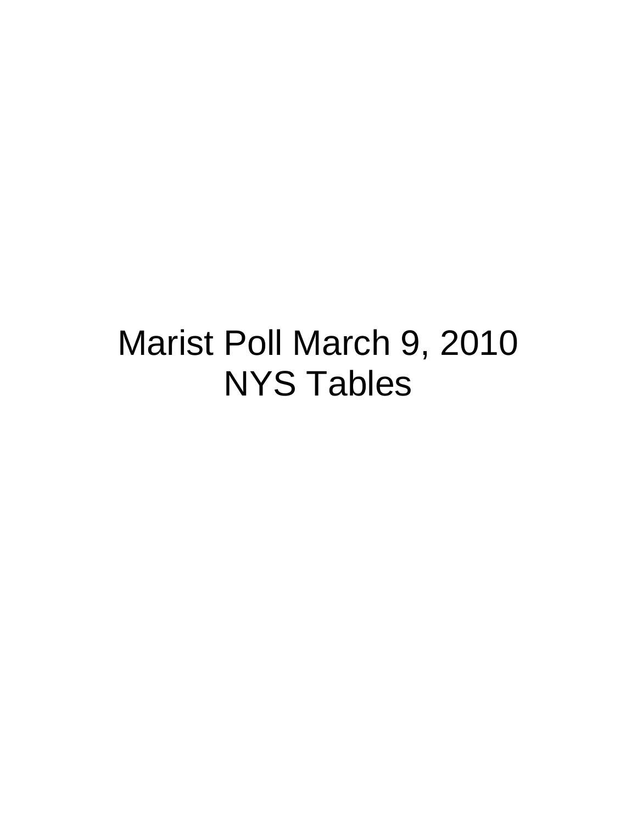# Marist Poll March 9, 2010 NYS Tables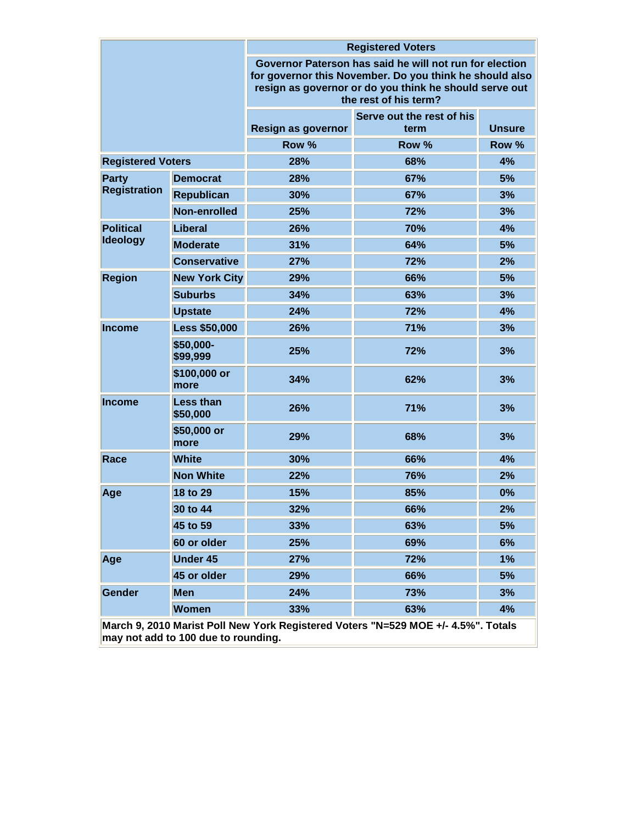|                          |                              | <b>Registered Voters</b>                                                                                                                                                                              |                                   |               |  |  |
|--------------------------|------------------------------|-------------------------------------------------------------------------------------------------------------------------------------------------------------------------------------------------------|-----------------------------------|---------------|--|--|
|                          |                              | Governor Paterson has said he will not run for election<br>for governor this November. Do you think he should also<br>resign as governor or do you think he should serve out<br>the rest of his term? |                                   |               |  |  |
|                          |                              | Resign as governor                                                                                                                                                                                    | Serve out the rest of his<br>term | <b>Unsure</b> |  |  |
|                          |                              | Row %                                                                                                                                                                                                 | Row %                             | Row %         |  |  |
| <b>Registered Voters</b> |                              | 28%                                                                                                                                                                                                   | 68%                               | 4%            |  |  |
| <b>Party</b>             | <b>Democrat</b>              | 28%                                                                                                                                                                                                   | 67%                               | 5%            |  |  |
| <b>Registration</b>      | <b>Republican</b>            | 30%                                                                                                                                                                                                   | 67%                               | 3%            |  |  |
|                          | Non-enrolled                 | 25%                                                                                                                                                                                                   | 72%                               | 3%            |  |  |
| <b>Political</b>         | Liberal                      | 26%                                                                                                                                                                                                   | 70%                               | 4%            |  |  |
| <b>Ideology</b>          | <b>Moderate</b>              | 31%                                                                                                                                                                                                   | 64%                               | 5%            |  |  |
|                          | <b>Conservative</b>          | 27%                                                                                                                                                                                                   | 72%                               | 2%            |  |  |
| <b>Region</b>            | <b>New York City</b>         | 29%                                                                                                                                                                                                   | 66%                               | 5%            |  |  |
|                          | <b>Suburbs</b>               | 34%<br>63%                                                                                                                                                                                            |                                   | 3%            |  |  |
|                          | <b>Upstate</b>               | 24%                                                                                                                                                                                                   | 72%                               | 4%            |  |  |
| <b>Income</b>            | <b>Less \$50,000</b>         | 26%                                                                                                                                                                                                   | 71%                               | 3%            |  |  |
|                          | \$50,000-<br>\$99,999        | 25%<br>72%                                                                                                                                                                                            |                                   | 3%            |  |  |
|                          | \$100,000 or<br>more         | 34%<br>62%                                                                                                                                                                                            |                                   | 3%            |  |  |
| <b>Income</b>            | <b>Less than</b><br>\$50,000 | 26%                                                                                                                                                                                                   | 71%                               | 3%            |  |  |
|                          | \$50,000 or<br>more          | 29%                                                                                                                                                                                                   | 68%                               | 3%            |  |  |
| Race                     | <b>White</b>                 | 30%                                                                                                                                                                                                   | 66%                               | 4%            |  |  |
|                          | <b>Non White</b>             | 22%                                                                                                                                                                                                   | 76%                               | 2%            |  |  |
| Age                      | 18 to 29                     | 15%                                                                                                                                                                                                   | 85%                               | 0%            |  |  |
|                          | 30 to 44                     | 32%                                                                                                                                                                                                   | 66%                               | 2%            |  |  |
|                          | 45 to 59                     | 33%                                                                                                                                                                                                   | 63%                               | 5%            |  |  |
|                          | 60 or older                  | 25%                                                                                                                                                                                                   | 69%                               | 6%            |  |  |
| Age                      | <b>Under 45</b>              | 27%                                                                                                                                                                                                   | 72%                               | 1%            |  |  |
|                          | 45 or older                  | 29%                                                                                                                                                                                                   | 66%                               | 5%            |  |  |
| Gender                   | <b>Men</b>                   | 24%                                                                                                                                                                                                   | 73%                               | 3%            |  |  |
|                          | <b>Women</b>                 | 33%                                                                                                                                                                                                   | 63%                               | 4%            |  |  |

**March 9, 2010 Marist Poll New York Registered Voters "N=529 MOE +/- 4.5%". Totals may not add to 100 due to rounding.**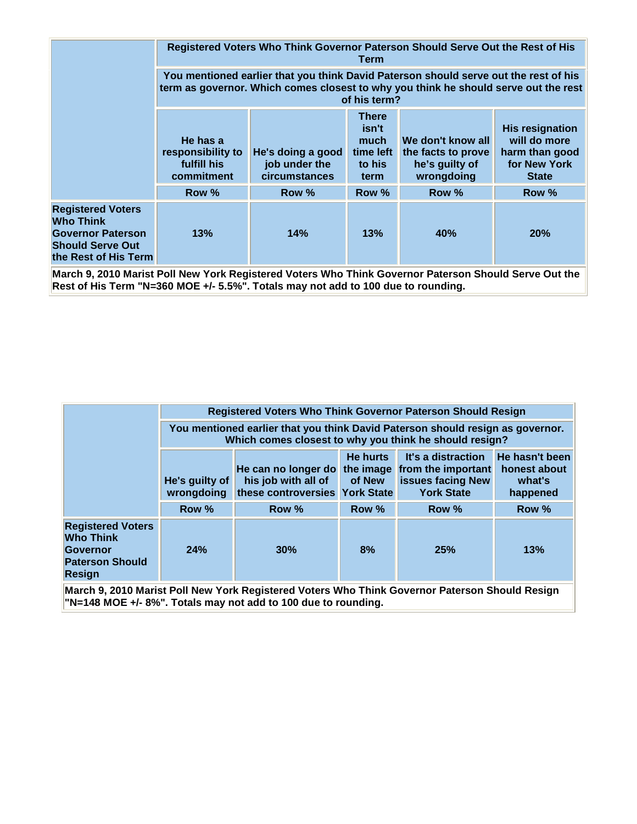|                                                                                                                             | Registered Voters Who Think Governor Paterson Should Serve Out the Rest of His<br>Term                                                                                                      |                                                            |                                                       |                                                                         |                                                                                          |  |  |  |
|-----------------------------------------------------------------------------------------------------------------------------|---------------------------------------------------------------------------------------------------------------------------------------------------------------------------------------------|------------------------------------------------------------|-------------------------------------------------------|-------------------------------------------------------------------------|------------------------------------------------------------------------------------------|--|--|--|
|                                                                                                                             | You mentioned earlier that you think David Paterson should serve out the rest of his<br>term as governor. Which comes closest to why you think he should serve out the rest<br>of his term? |                                                            |                                                       |                                                                         |                                                                                          |  |  |  |
|                                                                                                                             | He has a<br>responsibility to<br>fulfill his<br>commitment                                                                                                                                  | He's doing a good<br>job under the<br><b>circumstances</b> | There<br>isn't<br>much<br>time left<br>to his<br>term | We don't know all<br>the facts to prove<br>he's guilty of<br>wrongdoing | <b>His resignation</b><br>will do more<br>harm than good<br>for New York<br><b>State</b> |  |  |  |
|                                                                                                                             | Row %                                                                                                                                                                                       | Row %                                                      | Row %                                                 | Row %                                                                   | Row %                                                                                    |  |  |  |
| <b>Registered Voters</b><br><b>Who Think</b><br><b>Governor Paterson</b><br><b>Should Serve Out</b><br>the Rest of His Term | 13%                                                                                                                                                                                         | 14%                                                        | 13%                                                   | <b>40%</b>                                                              | 20%                                                                                      |  |  |  |

**March 9, 2010 Marist Poll New York Registered Voters Who Think Governor Paterson Should Serve Out the Rest of His Term "N=360 MOE +/- 5.5%". Totals may not add to 100 due to rounding.**

|                                                                                                            |                                                                                                                                          |                                                                              | <b>Registered Voters Who Think Governor Paterson Should Resign</b> |                                                                                              |                                                      |  |  |
|------------------------------------------------------------------------------------------------------------|------------------------------------------------------------------------------------------------------------------------------------------|------------------------------------------------------------------------------|--------------------------------------------------------------------|----------------------------------------------------------------------------------------------|------------------------------------------------------|--|--|
|                                                                                                            | You mentioned earlier that you think David Paterson should resign as governor.<br>Which comes closest to why you think he should resign? |                                                                              |                                                                    |                                                                                              |                                                      |  |  |
|                                                                                                            | He's guilty of<br>wrongdoing                                                                                                             | He can no longer do<br>his job with all of<br>these controversies York State | He hurts<br>of New                                                 | It's a distraction<br>the image from the important<br>issues facing New<br><b>York State</b> | He hasn't been<br>honest about<br>what's<br>happened |  |  |
|                                                                                                            | Row %                                                                                                                                    | Row %                                                                        | Row %                                                              | Row %                                                                                        | Row %                                                |  |  |
| <b>Registered Voters</b><br><b>Who Think</b><br><b>Governor</b><br><b>Paterson Should</b><br><b>Resign</b> | 24%                                                                                                                                      | 30%                                                                          | 8%                                                                 | 25%                                                                                          | 13%                                                  |  |  |

**March 9, 2010 Marist Poll New York Registered Voters Who Think Governor Paterson Should Resign "N=148 MOE +/- 8%". Totals may not add to 100 due to rounding.**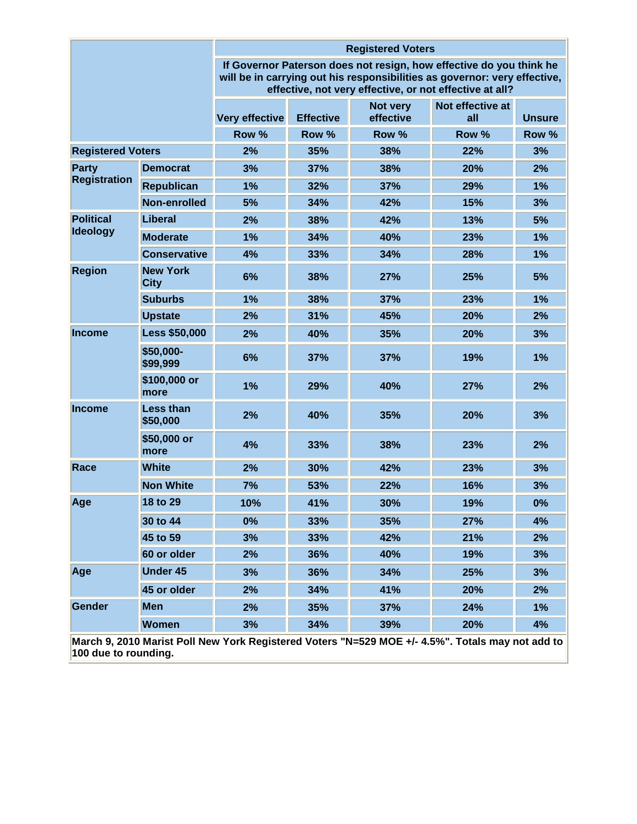|                          | <b>Registered Voters</b>                                                                                                                                                                                    |                |                  |                       |                                                                                                  |               |  |  |
|--------------------------|-------------------------------------------------------------------------------------------------------------------------------------------------------------------------------------------------------------|----------------|------------------|-----------------------|--------------------------------------------------------------------------------------------------|---------------|--|--|
|                          | If Governor Paterson does not resign, how effective do you think he<br>will be in carrying out his responsibilities as governor: very effective,<br>effective, not very effective, or not effective at all? |                |                  |                       |                                                                                                  |               |  |  |
|                          |                                                                                                                                                                                                             | Very effective | <b>Effective</b> | Not very<br>effective | Not effective at<br>all                                                                          | <b>Unsure</b> |  |  |
|                          |                                                                                                                                                                                                             | Row %          | Row %            | Row %                 | Row %                                                                                            | Row %         |  |  |
| <b>Registered Voters</b> |                                                                                                                                                                                                             | 2%             | 35%              | 38%                   | 22%                                                                                              | 3%            |  |  |
| <b>Party</b>             | <b>Democrat</b>                                                                                                                                                                                             | 3%             | 37%              | 38%                   | 20%                                                                                              | 2%            |  |  |
| <b>Registration</b>      | <b>Republican</b>                                                                                                                                                                                           | 1%             | 32%              | 37%                   | 29%                                                                                              | 1%            |  |  |
|                          | Non-enrolled                                                                                                                                                                                                | 5%             | 34%              | 42%                   | 15%                                                                                              | 3%            |  |  |
| <b>Political</b>         | Liberal                                                                                                                                                                                                     | 2%             | 38%              | 42%                   | 13%                                                                                              | 5%            |  |  |
| <b>Ideology</b>          | <b>Moderate</b>                                                                                                                                                                                             | 1%             | 34%              | 40%                   | 23%                                                                                              | 1%            |  |  |
|                          | <b>Conservative</b>                                                                                                                                                                                         | 4%             | 33%              | 34%                   | 28%                                                                                              | 1%            |  |  |
| <b>Region</b>            | <b>New York</b><br><b>City</b>                                                                                                                                                                              | 6%             | 38%              | 27%                   | 25%                                                                                              | 5%            |  |  |
|                          | <b>Suburbs</b>                                                                                                                                                                                              | 1%             | 38%              | 37%                   | 23%                                                                                              | 1%            |  |  |
|                          | <b>Upstate</b>                                                                                                                                                                                              | 2%             | 31%              | 45%                   | 20%                                                                                              | 2%            |  |  |
| <b>Income</b>            | <b>Less \$50,000</b>                                                                                                                                                                                        | 2%             | 40%              | 35%                   | 20%                                                                                              | 3%            |  |  |
|                          | \$50,000-<br>\$99,999                                                                                                                                                                                       | 6%             | 37%              | 37%                   | 19%                                                                                              | 1%            |  |  |
|                          | \$100,000 or<br>more                                                                                                                                                                                        | 1%             | 29%              | 40%                   | 27%                                                                                              | 2%            |  |  |
| <b>Income</b>            | <b>Less than</b><br>\$50,000                                                                                                                                                                                | 2%             | 40%              | 35%                   | 20%                                                                                              | 3%            |  |  |
|                          | \$50,000 or<br>more                                                                                                                                                                                         | 4%             | 33%              | 38%                   | 23%                                                                                              | 2%            |  |  |
| Race                     | <b>White</b>                                                                                                                                                                                                | 2%             | 30%              | 42%                   | 23%                                                                                              | 3%            |  |  |
|                          | <b>Non White</b>                                                                                                                                                                                            | 7%             | 53%              | 22%                   | 16%                                                                                              | 3%            |  |  |
| Age                      | 18 to 29                                                                                                                                                                                                    | 10%            | 41%              | 30%                   | 19%                                                                                              | 0%            |  |  |
|                          | 30 to 44                                                                                                                                                                                                    | 0%             | 33%              | 35%                   | 27%                                                                                              | 4%            |  |  |
|                          | 45 to 59                                                                                                                                                                                                    | 3%             | 33%              | 42%                   | 21%                                                                                              | 2%            |  |  |
|                          | 60 or older                                                                                                                                                                                                 | 2%             | 36%              | 40%                   | 19%                                                                                              | 3%            |  |  |
| Age                      | <b>Under 45</b>                                                                                                                                                                                             | 3%             | 36%              | 34%                   | 25%                                                                                              | 3%            |  |  |
|                          | 45 or older                                                                                                                                                                                                 | 2%             | 34%              | 41%                   | 20%                                                                                              | 2%            |  |  |
| <b>Gender</b>            | <b>Men</b>                                                                                                                                                                                                  | 2%             | 35%              | 37%                   | 24%                                                                                              | 1%            |  |  |
|                          | <b>Women</b>                                                                                                                                                                                                | 3%             | 34%              | 39%                   | 20%                                                                                              | 4%            |  |  |
| 100 due to rounding.     |                                                                                                                                                                                                             |                |                  |                       | March 9, 2010 Marist Poll New York Registered Voters "N=529 MOE +/- 4.5%". Totals may not add to |               |  |  |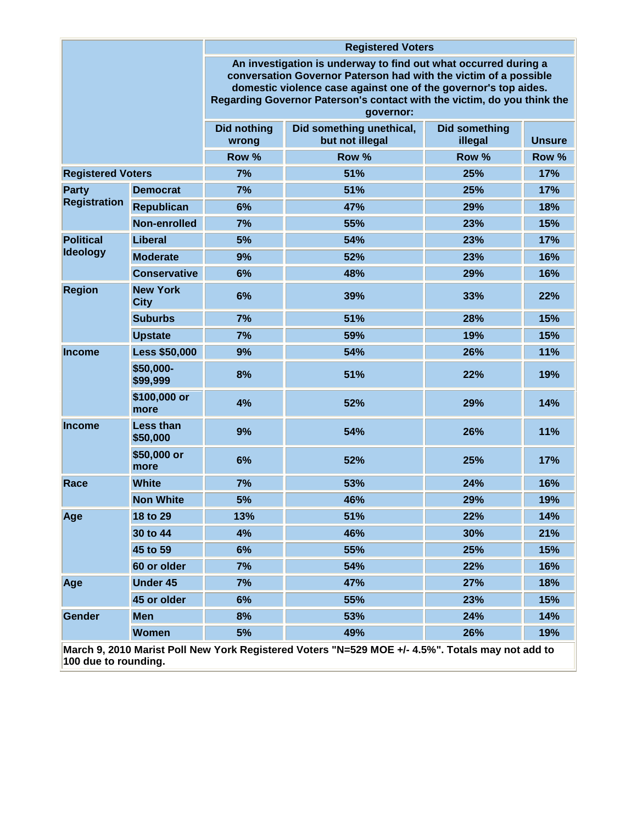| <b>Registered Voters</b> |                                |                                                                                                                                                                                                                                                                                                |                                                                                                  |                                 |               |  |  |
|--------------------------|--------------------------------|------------------------------------------------------------------------------------------------------------------------------------------------------------------------------------------------------------------------------------------------------------------------------------------------|--------------------------------------------------------------------------------------------------|---------------------------------|---------------|--|--|
|                          |                                | An investigation is underway to find out what occurred during a<br>conversation Governor Paterson had with the victim of a possible<br>domestic violence case against one of the governor's top aides.<br>Regarding Governor Paterson's contact with the victim, do you think the<br>governor: |                                                                                                  |                                 |               |  |  |
|                          |                                | <b>Did nothing</b><br>wrong                                                                                                                                                                                                                                                                    | Did something unethical,<br>but not illegal                                                      | <b>Did something</b><br>illegal | <b>Unsure</b> |  |  |
|                          |                                | Row %                                                                                                                                                                                                                                                                                          | Row %                                                                                            | Row %                           | Row %         |  |  |
| <b>Registered Voters</b> |                                | 7%                                                                                                                                                                                                                                                                                             | 51%                                                                                              | 25%                             | 17%           |  |  |
| Party                    | <b>Democrat</b>                | 7%                                                                                                                                                                                                                                                                                             | 51%                                                                                              | 25%                             | 17%           |  |  |
| <b>Registration</b>      | <b>Republican</b>              | 6%                                                                                                                                                                                                                                                                                             | 47%                                                                                              | 29%                             | 18%           |  |  |
|                          | Non-enrolled                   | 7%                                                                                                                                                                                                                                                                                             | 55%                                                                                              | 23%                             | 15%           |  |  |
| <b>Political</b>         | Liberal                        | 5%                                                                                                                                                                                                                                                                                             | 54%                                                                                              | 23%                             | 17%           |  |  |
| <b>Ideology</b>          | <b>Moderate</b>                | 9%                                                                                                                                                                                                                                                                                             | 52%                                                                                              | 23%                             | 16%           |  |  |
|                          | <b>Conservative</b>            | 6%                                                                                                                                                                                                                                                                                             | 48%                                                                                              | 29%                             | 16%           |  |  |
| <b>Region</b>            | <b>New York</b><br><b>City</b> | 6%                                                                                                                                                                                                                                                                                             | 39%                                                                                              | 33%                             | 22%           |  |  |
|                          | <b>Suburbs</b>                 | 7%                                                                                                                                                                                                                                                                                             | 51%                                                                                              | 28%                             | 15%           |  |  |
|                          | <b>Upstate</b>                 | 7%                                                                                                                                                                                                                                                                                             | 59%                                                                                              | 19%                             | 15%           |  |  |
| <b>Income</b>            | <b>Less \$50,000</b>           | 9%                                                                                                                                                                                                                                                                                             | 54%                                                                                              | 26%                             | 11%           |  |  |
|                          | \$50,000-<br>\$99,999          | 8%                                                                                                                                                                                                                                                                                             | 51%                                                                                              | 22%                             | 19%           |  |  |
|                          | \$100,000 or<br>more           | 4%                                                                                                                                                                                                                                                                                             | 52%                                                                                              | 29%                             | 14%           |  |  |
| <b>Income</b>            | <b>Less than</b><br>\$50,000   | 9%                                                                                                                                                                                                                                                                                             | 54%                                                                                              | 26%                             | <b>11%</b>    |  |  |
|                          | \$50,000 or<br>more            | 6%                                                                                                                                                                                                                                                                                             | 52%                                                                                              | 25%                             | 17%           |  |  |
| Race                     | <b>White</b>                   | 7%                                                                                                                                                                                                                                                                                             | 53%                                                                                              | 24%                             | 16%           |  |  |
|                          | <b>Non White</b>               | 5%                                                                                                                                                                                                                                                                                             | 46%                                                                                              | 29%                             | 19%           |  |  |
| Age                      | 18 to 29                       | 13%                                                                                                                                                                                                                                                                                            | 51%                                                                                              | 22%                             | 14%           |  |  |
|                          | 30 to 44                       | 4%                                                                                                                                                                                                                                                                                             | 46%                                                                                              | 30%                             | 21%           |  |  |
|                          | 45 to 59                       | 6%                                                                                                                                                                                                                                                                                             | 55%                                                                                              | 25%                             | 15%           |  |  |
|                          | 60 or older                    | 7%                                                                                                                                                                                                                                                                                             | 54%                                                                                              | 22%                             | 16%           |  |  |
| Age                      | <b>Under 45</b>                | 7%                                                                                                                                                                                                                                                                                             | 47%                                                                                              | 27%                             | 18%           |  |  |
|                          | 45 or older                    | 6%                                                                                                                                                                                                                                                                                             | 55%                                                                                              | 23%                             | 15%           |  |  |
| Gender                   | <b>Men</b>                     | 8%                                                                                                                                                                                                                                                                                             | 53%                                                                                              | 24%                             | 14%           |  |  |
|                          | <b>Women</b>                   | 5%                                                                                                                                                                                                                                                                                             | 49%                                                                                              | 26%                             | 19%           |  |  |
| 100 due to rounding.     |                                |                                                                                                                                                                                                                                                                                                | March 9, 2010 Marist Poll New York Registered Voters "N=529 MOE +/- 4.5%". Totals may not add to |                                 |               |  |  |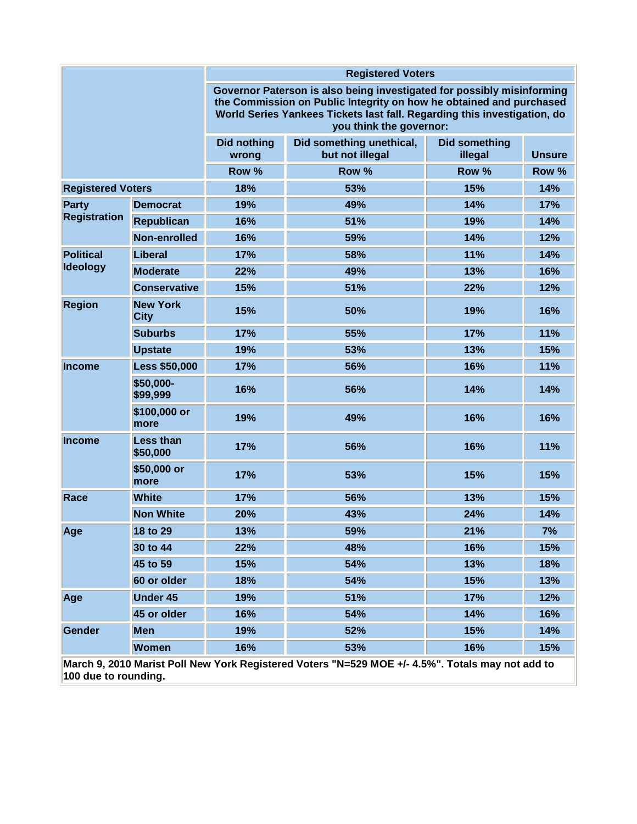|                                                                                                  |                                | <b>Registered Voters</b>                                                                                                                                                                                                                             |                                             |                                 |               |  |  |  |
|--------------------------------------------------------------------------------------------------|--------------------------------|------------------------------------------------------------------------------------------------------------------------------------------------------------------------------------------------------------------------------------------------------|---------------------------------------------|---------------------------------|---------------|--|--|--|
|                                                                                                  |                                | Governor Paterson is also being investigated for possibly misinforming<br>the Commission on Public Integrity on how he obtained and purchased<br>World Series Yankees Tickets last fall. Regarding this investigation, do<br>you think the governor: |                                             |                                 |               |  |  |  |
|                                                                                                  |                                | <b>Did nothing</b><br>wrong                                                                                                                                                                                                                          | Did something unethical,<br>but not illegal | <b>Did something</b><br>illegal | <b>Unsure</b> |  |  |  |
|                                                                                                  |                                | Row %                                                                                                                                                                                                                                                | Row %                                       | Row %                           | Row %         |  |  |  |
| <b>Registered Voters</b>                                                                         |                                | 18%                                                                                                                                                                                                                                                  | 53%                                         | 15%                             | 14%           |  |  |  |
| <b>Party</b>                                                                                     | <b>Democrat</b>                | 19%                                                                                                                                                                                                                                                  | 49%                                         | 14%                             | 17%           |  |  |  |
| <b>Registration</b>                                                                              | <b>Republican</b>              | 16%                                                                                                                                                                                                                                                  | 51%                                         | 19%                             | 14%           |  |  |  |
|                                                                                                  | Non-enrolled                   | 16%                                                                                                                                                                                                                                                  | 59%                                         | 14%                             | 12%           |  |  |  |
| <b>Political</b>                                                                                 | Liberal                        | 17%                                                                                                                                                                                                                                                  | 58%                                         | 11%                             | 14%           |  |  |  |
| <b>Ideology</b>                                                                                  | <b>Moderate</b>                | 22%                                                                                                                                                                                                                                                  | 49%                                         | 13%                             | 16%           |  |  |  |
|                                                                                                  | <b>Conservative</b>            | 15%                                                                                                                                                                                                                                                  | 51%                                         | 22%                             | 12%           |  |  |  |
| <b>Region</b>                                                                                    | <b>New York</b><br><b>City</b> | 15%                                                                                                                                                                                                                                                  | 50%                                         | 19%                             | 16%           |  |  |  |
|                                                                                                  | <b>Suburbs</b>                 | 17%                                                                                                                                                                                                                                                  | 55%                                         | 17%                             | 11%           |  |  |  |
|                                                                                                  | <b>Upstate</b>                 | 19%                                                                                                                                                                                                                                                  | 53%                                         | 13%                             | 15%           |  |  |  |
| <b>Income</b>                                                                                    | <b>Less \$50,000</b>           | 17%                                                                                                                                                                                                                                                  | 56%                                         | 16%                             | 11%           |  |  |  |
|                                                                                                  | \$50,000-<br>\$99,999          | 16%                                                                                                                                                                                                                                                  | 56%                                         | 14%                             | 14%           |  |  |  |
|                                                                                                  | \$100,000 or<br>more           | 19%                                                                                                                                                                                                                                                  | 49%                                         | 16%                             | 16%           |  |  |  |
| <b>Income</b>                                                                                    | <b>Less than</b><br>\$50,000   | 17%                                                                                                                                                                                                                                                  | 56%                                         | 16%                             | 11%           |  |  |  |
|                                                                                                  | \$50,000 or<br>more            | 17%                                                                                                                                                                                                                                                  | 53%                                         | 15%                             | 15%           |  |  |  |
| Race                                                                                             | <b>White</b>                   | 17%                                                                                                                                                                                                                                                  | 56%                                         | 13%                             | 15%           |  |  |  |
|                                                                                                  | <b>Non White</b>               | 20%                                                                                                                                                                                                                                                  | 43%                                         | 24%                             | 14%           |  |  |  |
| Age                                                                                              | 18 to 29                       | 13%                                                                                                                                                                                                                                                  | 59%                                         | 21%                             | 7%            |  |  |  |
|                                                                                                  | 30 to 44                       | 22%                                                                                                                                                                                                                                                  | 48%                                         | 16%                             | 15%           |  |  |  |
|                                                                                                  | 45 to 59                       | 15%                                                                                                                                                                                                                                                  | 54%                                         | 13%                             | 18%           |  |  |  |
|                                                                                                  | 60 or older                    | 18%                                                                                                                                                                                                                                                  | 54%                                         | 15%                             | 13%           |  |  |  |
| Age                                                                                              | <b>Under 45</b>                | 19%                                                                                                                                                                                                                                                  | 51%                                         | 17%                             | 12%           |  |  |  |
|                                                                                                  | 45 or older                    | 16%                                                                                                                                                                                                                                                  | 54%                                         | 14%                             | 16%           |  |  |  |
| Gender                                                                                           | <b>Men</b>                     | 19%                                                                                                                                                                                                                                                  | 52%                                         | 15%                             | 14%           |  |  |  |
|                                                                                                  | <b>Women</b>                   | 16%                                                                                                                                                                                                                                                  | 53%                                         | 16%                             | 15%           |  |  |  |
| March 9, 2010 Marist Poll New York Registered Voters "N=529 MOE +/- 4.5%". Totals may not add to |                                |                                                                                                                                                                                                                                                      |                                             |                                 |               |  |  |  |

**100 due to rounding.**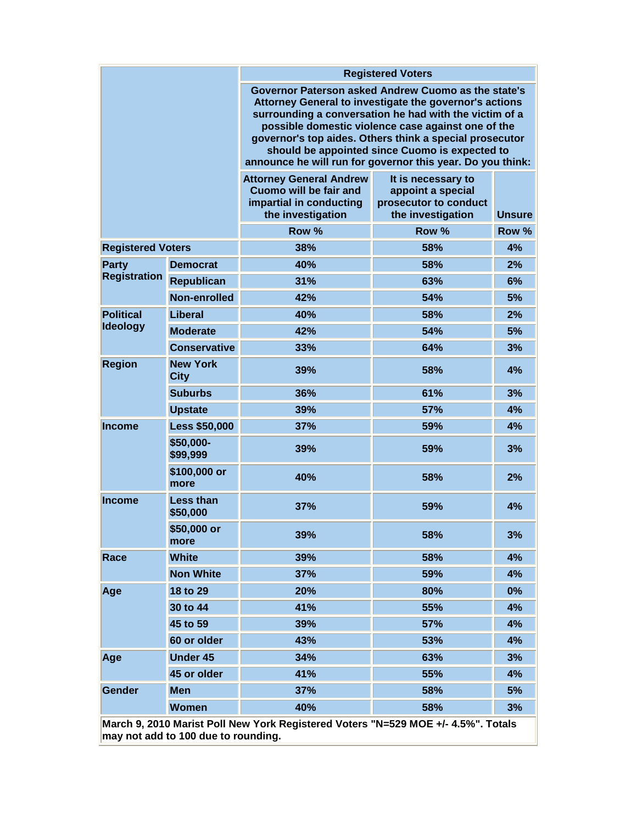|                                                 |                                     | <b>Registered Voters</b>                                                                                                                                                                                                                                                                                                                                                                                 |                                                                                       |               |  |  |
|-------------------------------------------------|-------------------------------------|----------------------------------------------------------------------------------------------------------------------------------------------------------------------------------------------------------------------------------------------------------------------------------------------------------------------------------------------------------------------------------------------------------|---------------------------------------------------------------------------------------|---------------|--|--|
|                                                 |                                     | Governor Paterson asked Andrew Cuomo as the state's<br>Attorney General to investigate the governor's actions<br>surrounding a conversation he had with the victim of a<br>possible domestic violence case against one of the<br>governor's top aides. Others think a special prosecutor<br>should be appointed since Cuomo is expected to<br>announce he will run for governor this year. Do you think: |                                                                                       |               |  |  |
|                                                 |                                     | <b>Attorney General Andrew</b><br>Cuomo will be fair and<br>impartial in conducting<br>the investigation                                                                                                                                                                                                                                                                                                 | It is necessary to<br>appoint a special<br>prosecutor to conduct<br>the investigation | <b>Unsure</b> |  |  |
|                                                 |                                     | Row %                                                                                                                                                                                                                                                                                                                                                                                                    | Row %                                                                                 | Row %         |  |  |
| <b>Registered Voters</b>                        |                                     | 38%                                                                                                                                                                                                                                                                                                                                                                                                      | 58%                                                                                   | 4%            |  |  |
| <b>Party</b>                                    | <b>Democrat</b>                     | 40%                                                                                                                                                                                                                                                                                                                                                                                                      | 58%                                                                                   | 2%            |  |  |
| <b>Registration</b>                             | <b>Republican</b>                   | 31%                                                                                                                                                                                                                                                                                                                                                                                                      | 63%                                                                                   | 6%            |  |  |
|                                                 | Non-enrolled                        | 42%                                                                                                                                                                                                                                                                                                                                                                                                      | 54%                                                                                   | 5%            |  |  |
| <b>Political</b>                                | Liberal                             | 40%                                                                                                                                                                                                                                                                                                                                                                                                      | 58%                                                                                   | 2%            |  |  |
| Ideology                                        | <b>Moderate</b>                     | 42%                                                                                                                                                                                                                                                                                                                                                                                                      | 54%                                                                                   | 5%            |  |  |
|                                                 | <b>Conservative</b>                 | 33%                                                                                                                                                                                                                                                                                                                                                                                                      | 64%                                                                                   | 3%            |  |  |
| <b>New York</b><br><b>Region</b><br><b>City</b> |                                     | 39%                                                                                                                                                                                                                                                                                                                                                                                                      | 58%                                                                                   | 4%            |  |  |
|                                                 | <b>Suburbs</b>                      | 36%                                                                                                                                                                                                                                                                                                                                                                                                      | 61%                                                                                   | 3%            |  |  |
|                                                 | <b>Upstate</b>                      | 39%                                                                                                                                                                                                                                                                                                                                                                                                      | 57%                                                                                   | 4%            |  |  |
| <b>Income</b>                                   | <b>Less \$50,000</b>                | 37%                                                                                                                                                                                                                                                                                                                                                                                                      | 59%                                                                                   | 4%            |  |  |
|                                                 | \$50,000-<br>\$99,999               | 39%                                                                                                                                                                                                                                                                                                                                                                                                      | 59%                                                                                   | 3%            |  |  |
|                                                 | \$100,000 or<br>more                | 40%                                                                                                                                                                                                                                                                                                                                                                                                      | 58%                                                                                   | 2%            |  |  |
| <b>Income</b>                                   | <b>Less than</b><br>\$50,000        | 37%                                                                                                                                                                                                                                                                                                                                                                                                      | 59%                                                                                   | 4%            |  |  |
|                                                 | \$50,000 or<br>more                 | 39%                                                                                                                                                                                                                                                                                                                                                                                                      | 58%                                                                                   | 3%            |  |  |
| Race                                            | <b>White</b>                        | 39%                                                                                                                                                                                                                                                                                                                                                                                                      | 58%                                                                                   | 4%            |  |  |
|                                                 | <b>Non White</b>                    | 37%                                                                                                                                                                                                                                                                                                                                                                                                      | 59%                                                                                   | 4%            |  |  |
| Age                                             | 18 to 29                            | 20%                                                                                                                                                                                                                                                                                                                                                                                                      | 80%                                                                                   | 0%            |  |  |
|                                                 | 30 to 44                            | 41%                                                                                                                                                                                                                                                                                                                                                                                                      | 55%                                                                                   | 4%            |  |  |
|                                                 | 45 to 59                            | 39%                                                                                                                                                                                                                                                                                                                                                                                                      | 57%                                                                                   | 4%            |  |  |
|                                                 | 60 or older                         | 43%                                                                                                                                                                                                                                                                                                                                                                                                      | 53%                                                                                   | 4%            |  |  |
| Age                                             | <b>Under 45</b>                     | 34%                                                                                                                                                                                                                                                                                                                                                                                                      | 63%                                                                                   | 3%            |  |  |
|                                                 | 45 or older                         | 41%                                                                                                                                                                                                                                                                                                                                                                                                      | 55%                                                                                   | 4%            |  |  |
| <b>Gender</b>                                   | <b>Men</b>                          | 37%                                                                                                                                                                                                                                                                                                                                                                                                      | 58%                                                                                   | 5%            |  |  |
|                                                 | <b>Women</b>                        | 40%                                                                                                                                                                                                                                                                                                                                                                                                      | 58%                                                                                   | 3%            |  |  |
|                                                 | may not add to 100 due to rounding. | March 9, 2010 Marist Poll New York Registered Voters "N=529 MOE +/- 4.5%". Totals                                                                                                                                                                                                                                                                                                                        |                                                                                       |               |  |  |

**may not add to 100 due to rounding.**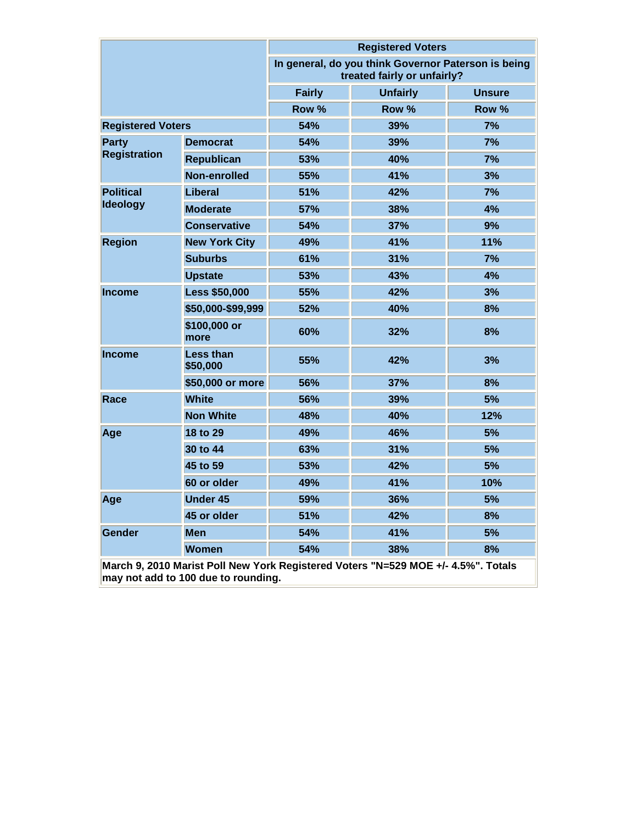|                          |                       | <b>Registered Voters</b> |                                                                                    |               |  |  |  |
|--------------------------|-----------------------|--------------------------|------------------------------------------------------------------------------------|---------------|--|--|--|
|                          |                       |                          | In general, do you think Governor Paterson is being<br>treated fairly or unfairly? |               |  |  |  |
|                          |                       | <b>Fairly</b>            | <b>Unfairly</b>                                                                    | <b>Unsure</b> |  |  |  |
|                          |                       | Row %                    | Row %                                                                              | Row %         |  |  |  |
| <b>Registered Voters</b> |                       | 54%                      | 39%                                                                                | 7%            |  |  |  |
| Party                    | <b>Democrat</b>       | 54%                      | 39%                                                                                | 7%            |  |  |  |
| <b>Registration</b>      | <b>Republican</b>     | 53%                      | 40%                                                                                | 7%            |  |  |  |
|                          | Non-enrolled          | 55%                      | 41%                                                                                | 3%            |  |  |  |
| <b>Political</b>         | Liberal               | 51%                      | 42%                                                                                | 7%            |  |  |  |
| <b>Ideology</b>          | <b>Moderate</b>       | <b>57%</b>               | 38%                                                                                | 4%            |  |  |  |
|                          | <b>Conservative</b>   | 54%                      | 37%                                                                                | 9%            |  |  |  |
| <b>Region</b>            | <b>New York City</b>  | 49%                      | 41%                                                                                | 11%           |  |  |  |
|                          | <b>Suburbs</b>        | 61%                      | 31%                                                                                | 7%            |  |  |  |
|                          | <b>Upstate</b>        | 53%                      | 43%                                                                                | 4%            |  |  |  |
| <b>Income</b>            | <b>Less \$50,000</b>  | 55%                      | 42%                                                                                | 3%            |  |  |  |
|                          | \$50,000-\$99,999     | 52%                      | <b>40%</b>                                                                         | 8%            |  |  |  |
|                          | \$100,000 or<br>more  | 60%                      | 32%                                                                                | 8%            |  |  |  |
| <b>Income</b>            | Less than<br>\$50,000 | 55%                      | 42%                                                                                | 3%            |  |  |  |
|                          | \$50,000 or more      | 56%                      | 37%                                                                                | 8%            |  |  |  |
| Race                     | <b>White</b>          | 56%                      | 39%                                                                                | 5%            |  |  |  |
|                          | <b>Non White</b>      | 48%                      | 40%                                                                                | 12%           |  |  |  |
| Age                      | 18 to 29              | 49%                      | 46%                                                                                | 5%            |  |  |  |
|                          | 30 to 44              | 63%                      | 31%                                                                                | 5%            |  |  |  |
|                          | 45 to 59              | 53%                      | 42%                                                                                | 5%            |  |  |  |
|                          | 60 or older           | 49%                      | 41%                                                                                | 10%           |  |  |  |
| Age                      | <b>Under 45</b>       | 59%                      | 36%                                                                                | 5%            |  |  |  |
|                          | 45 or older           | 51%                      | 42%                                                                                | 8%            |  |  |  |
| Gender                   | <b>Men</b>            | 54%                      | 41%                                                                                | 5%            |  |  |  |
|                          | <b>Women</b>          | 54%                      | 38%                                                                                | 8%            |  |  |  |
|                          |                       |                          | March 9, 2010 Marist Poll New York Registered Voters "N=529 MOE +/- 4.5%". Totals  |               |  |  |  |

**may not add to 100 due to rounding.**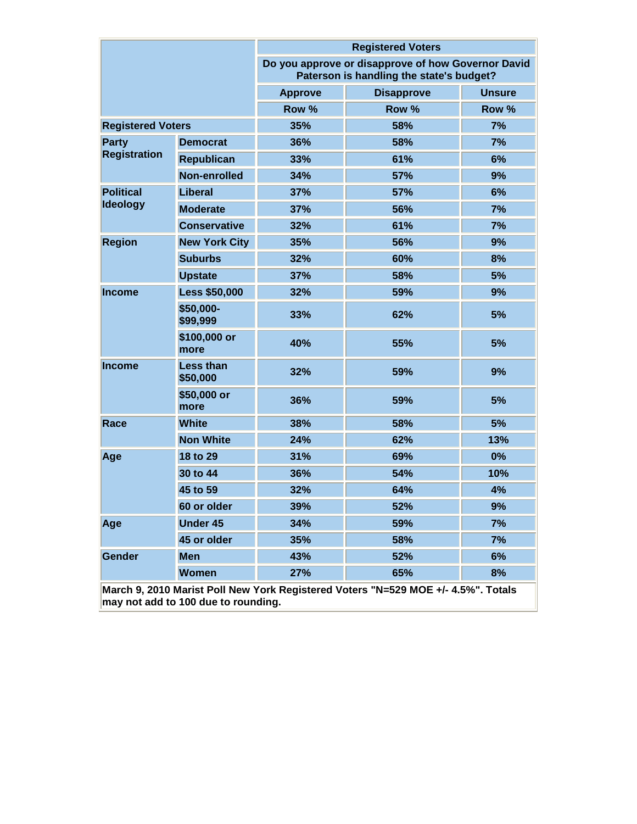|                          |                                     | <b>Registered Voters</b> |                                                                                                |               |  |  |  |
|--------------------------|-------------------------------------|--------------------------|------------------------------------------------------------------------------------------------|---------------|--|--|--|
|                          |                                     |                          | Do you approve or disapprove of how Governor David<br>Paterson is handling the state's budget? |               |  |  |  |
|                          |                                     | <b>Approve</b>           | <b>Disapprove</b>                                                                              | <b>Unsure</b> |  |  |  |
|                          |                                     | Row %                    | Row %                                                                                          | Row %         |  |  |  |
| <b>Registered Voters</b> |                                     | 35%                      | 58%                                                                                            | 7%            |  |  |  |
| Party                    | <b>Democrat</b>                     | 36%                      | 58%                                                                                            | 7%            |  |  |  |
| <b>Registration</b>      | <b>Republican</b>                   | 33%                      | 61%                                                                                            | 6%            |  |  |  |
|                          | Non-enrolled                        | 34%                      | 57%                                                                                            | 9%            |  |  |  |
| <b>Political</b>         | Liberal                             | 37%                      | 57%                                                                                            | 6%            |  |  |  |
| <b>Ideology</b>          | <b>Moderate</b>                     | 37%                      | 56%                                                                                            | 7%            |  |  |  |
|                          | <b>Conservative</b>                 | 32%                      | 61%                                                                                            | 7%            |  |  |  |
| <b>Region</b>            | <b>New York City</b>                | 35%                      | 56%                                                                                            | 9%            |  |  |  |
|                          | <b>Suburbs</b>                      | 32%                      | 60%                                                                                            | 8%            |  |  |  |
|                          | <b>Upstate</b>                      | 37%                      | 58%                                                                                            | 5%            |  |  |  |
| <b>Income</b>            | <b>Less \$50,000</b>                | 32%                      | 59%                                                                                            | 9%            |  |  |  |
|                          | \$50,000-<br>\$99,999               | 33%                      | 62%                                                                                            | 5%            |  |  |  |
|                          | \$100,000 or<br>more                | 40%                      | 55%                                                                                            | 5%            |  |  |  |
| <b>Income</b>            | <b>Less than</b><br>\$50,000        | 32%                      | 59%                                                                                            | 9%            |  |  |  |
|                          | \$50,000 or<br>more                 | 36%                      | 59%                                                                                            | 5%            |  |  |  |
| Race                     | <b>White</b>                        | 38%                      | 58%                                                                                            | 5%            |  |  |  |
|                          | <b>Non White</b>                    | 24%                      | 62%                                                                                            | 13%           |  |  |  |
| Age                      | 18 to 29                            | 31%                      | 69%                                                                                            | 0%            |  |  |  |
|                          | 30 to 44                            | 36%                      | 54%                                                                                            | 10%           |  |  |  |
|                          | 45 to 59                            | 32%                      | 64%                                                                                            | 4%            |  |  |  |
|                          | 60 or older                         | <b>39%</b>               | 52%                                                                                            | 9%            |  |  |  |
| Age                      | <b>Under 45</b>                     | 34%                      | 59%                                                                                            | 7%            |  |  |  |
|                          | 45 or older                         | 35%                      | 58%                                                                                            | 7%            |  |  |  |
| Gender                   | <b>Men</b>                          | 43%                      | 52%                                                                                            | 6%            |  |  |  |
|                          | <b>Women</b>                        | 27%                      | 65%                                                                                            | 8%            |  |  |  |
|                          | may not add to 100 due to rounding. |                          | March 9, 2010 Marist Poll New York Registered Voters "N=529 MOE +/- 4.5%". Totals              |               |  |  |  |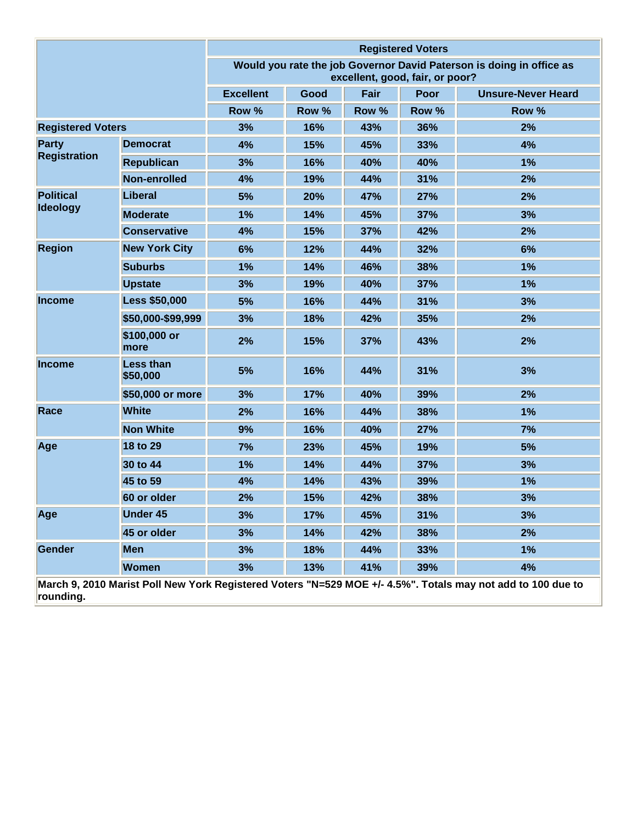|                          |                              | <b>Registered Voters</b>                                                                                |       |       |       |                                                                                                             |
|--------------------------|------------------------------|---------------------------------------------------------------------------------------------------------|-------|-------|-------|-------------------------------------------------------------------------------------------------------------|
|                          |                              | Would you rate the job Governor David Paterson is doing in office as<br>excellent, good, fair, or poor? |       |       |       |                                                                                                             |
|                          |                              | <b>Excellent</b>                                                                                        | Good  | Fair  | Poor  | <b>Unsure-Never Heard</b>                                                                                   |
|                          |                              | Row %                                                                                                   | Row % | Row % | Row % | Row %                                                                                                       |
| <b>Registered Voters</b> |                              | 3%                                                                                                      | 16%   | 43%   | 36%   | 2%                                                                                                          |
| <b>Party</b>             | <b>Democrat</b>              | 4%                                                                                                      | 15%   | 45%   | 33%   | 4%                                                                                                          |
| <b>Registration</b>      | <b>Republican</b>            | 3%                                                                                                      | 16%   | 40%   | 40%   | 1%                                                                                                          |
|                          | Non-enrolled                 | 4%                                                                                                      | 19%   | 44%   | 31%   | 2%                                                                                                          |
| <b>Political</b>         | Liberal                      | 5%                                                                                                      | 20%   | 47%   | 27%   | 2%                                                                                                          |
| <b>Ideology</b>          | <b>Moderate</b>              | 1%                                                                                                      | 14%   | 45%   | 37%   | 3%                                                                                                          |
|                          | <b>Conservative</b>          | 4%                                                                                                      | 15%   | 37%   | 42%   | 2%                                                                                                          |
| <b>Region</b>            | <b>New York City</b>         | 6%                                                                                                      | 12%   | 44%   | 32%   | 6%                                                                                                          |
|                          | <b>Suburbs</b>               | 1%                                                                                                      | 14%   | 46%   | 38%   | 1%                                                                                                          |
|                          | <b>Upstate</b>               | 3%                                                                                                      | 19%   | 40%   | 37%   | 1%                                                                                                          |
| <b>Income</b>            | <b>Less \$50,000</b>         | 5%                                                                                                      | 16%   | 44%   | 31%   | 3%                                                                                                          |
|                          | \$50,000-\$99,999            | 3%                                                                                                      | 18%   | 42%   | 35%   | 2%                                                                                                          |
|                          | \$100,000 or<br>more         | 2%                                                                                                      | 15%   | 37%   | 43%   | 2%                                                                                                          |
| <b>Income</b>            | <b>Less than</b><br>\$50,000 | 5%                                                                                                      | 16%   | 44%   | 31%   | 3%                                                                                                          |
|                          | \$50,000 or more             | 3%                                                                                                      | 17%   | 40%   | 39%   | 2%                                                                                                          |
| Race                     | <b>White</b>                 | 2%                                                                                                      | 16%   | 44%   | 38%   | 1%                                                                                                          |
|                          | <b>Non White</b>             | 9%                                                                                                      | 16%   | 40%   | 27%   | 7%                                                                                                          |
| Age                      | 18 to 29                     | 7%                                                                                                      | 23%   | 45%   | 19%   | 5%                                                                                                          |
|                          | 30 to 44                     | 1%                                                                                                      | 14%   | 44%   | 37%   | 3%                                                                                                          |
|                          | 45 to 59                     | 4%                                                                                                      | 14%   | 43%   | 39%   | 1%                                                                                                          |
|                          | 60 or older                  | 2%                                                                                                      | 15%   | 42%   | 38%   | 3%                                                                                                          |
| Age                      | <b>Under 45</b>              | 3%                                                                                                      | 17%   | 45%   | 31%   | 3%                                                                                                          |
|                          | 45 or older                  | 3%                                                                                                      | 14%   | 42%   | 38%   | 2%                                                                                                          |
| Gender                   | <b>Men</b>                   | 3%                                                                                                      | 18%   | 44%   | 33%   | 1%                                                                                                          |
|                          | <b>Women</b>                 | 3%                                                                                                      | 13%   | 41%   | 39%   | 4%                                                                                                          |
| rounding.                |                              |                                                                                                         |       |       |       | March 9, 2010 Marist Poll New York Registered Voters "N=529 MOE +/- 4.5%". Totals may not add to 100 due to |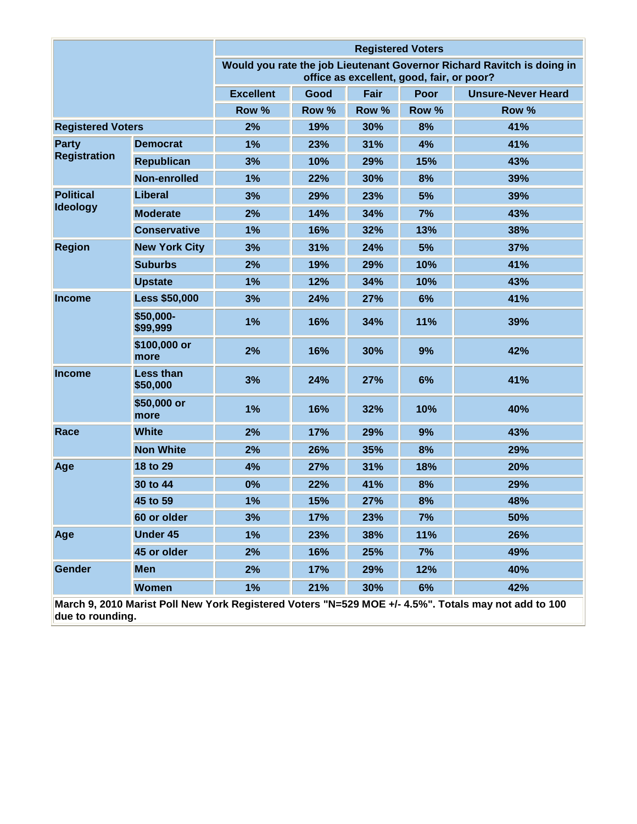|                          |                              | <b>Registered Voters</b> |                                                                                                                     |       |       |                                                                                                      |  |
|--------------------------|------------------------------|--------------------------|---------------------------------------------------------------------------------------------------------------------|-------|-------|------------------------------------------------------------------------------------------------------|--|
|                          |                              |                          | Would you rate the job Lieutenant Governor Richard Ravitch is doing in<br>office as excellent, good, fair, or poor? |       |       |                                                                                                      |  |
|                          |                              | <b>Excellent</b>         | Good                                                                                                                | Fair  | Poor  | <b>Unsure-Never Heard</b>                                                                            |  |
|                          |                              | Row %                    | Row %                                                                                                               | Row % | Row % | Row %                                                                                                |  |
| <b>Registered Voters</b> |                              | 2%                       | 19%                                                                                                                 | 30%   | 8%    | 41%                                                                                                  |  |
| Party                    | <b>Democrat</b>              | 1%                       | 23%                                                                                                                 | 31%   | 4%    | 41%                                                                                                  |  |
| <b>Registration</b>      | <b>Republican</b>            | 3%                       | 10%                                                                                                                 | 29%   | 15%   | 43%                                                                                                  |  |
|                          | Non-enrolled                 | 1%                       | 22%                                                                                                                 | 30%   | 8%    | 39%                                                                                                  |  |
| <b>Political</b>         | <b>Liberal</b>               | 3%                       | 29%                                                                                                                 | 23%   | 5%    | 39%                                                                                                  |  |
| <b>Ideology</b>          | <b>Moderate</b>              | 2%                       | 14%                                                                                                                 | 34%   | 7%    | 43%                                                                                                  |  |
|                          | <b>Conservative</b>          | 1%                       | 16%                                                                                                                 | 32%   | 13%   | 38%                                                                                                  |  |
| <b>Region</b>            | <b>New York City</b>         | 3%                       | 31%                                                                                                                 | 24%   | 5%    | 37%                                                                                                  |  |
|                          | <b>Suburbs</b>               | 2%                       | 19%                                                                                                                 | 29%   | 10%   | 41%                                                                                                  |  |
|                          | <b>Upstate</b>               | 1%                       | 12%                                                                                                                 | 34%   | 10%   | 43%                                                                                                  |  |
| <b>Income</b>            | <b>Less \$50,000</b>         | 3%                       | 24%                                                                                                                 | 27%   | 6%    | 41%                                                                                                  |  |
|                          | \$50,000-<br>\$99,999        | 1%                       | 16%                                                                                                                 | 34%   | 11%   | 39%                                                                                                  |  |
|                          | \$100,000 or<br>more         | 2%                       | 16%                                                                                                                 | 30%   | 9%    | 42%                                                                                                  |  |
| <b>Income</b>            | <b>Less than</b><br>\$50,000 | 3%                       | 24%                                                                                                                 | 27%   | 6%    | 41%                                                                                                  |  |
|                          | \$50,000 or<br>more          | 1%                       | 16%                                                                                                                 | 32%   | 10%   | 40%                                                                                                  |  |
| Race                     | <b>White</b>                 | 2%                       | 17%                                                                                                                 | 29%   | 9%    | 43%                                                                                                  |  |
|                          | <b>Non White</b>             | 2%                       | 26%                                                                                                                 | 35%   | 8%    | 29%                                                                                                  |  |
| Age                      | 18 to 29                     | 4%                       | 27%                                                                                                                 | 31%   | 18%   | 20%                                                                                                  |  |
|                          | 30 to 44                     | 0%                       | 22%                                                                                                                 | 41%   | 8%    | 29%                                                                                                  |  |
|                          | 45 to 59                     | 1%                       | 15%                                                                                                                 | 27%   | 8%    | 48%                                                                                                  |  |
|                          | 60 or older                  | 3%                       | 17%                                                                                                                 | 23%   | 7%    | 50%                                                                                                  |  |
| Age                      | <b>Under 45</b>              | 1%                       | 23%                                                                                                                 | 38%   | 11%   | 26%                                                                                                  |  |
|                          | 45 or older                  | 2%                       | 16%                                                                                                                 | 25%   | 7%    | 49%                                                                                                  |  |
| <b>Gender</b>            | <b>Men</b>                   | 2%                       | 17%                                                                                                                 | 29%   | 12%   | 40%                                                                                                  |  |
|                          | <b>Women</b>                 | 1%                       | 21%                                                                                                                 | 30%   | 6%    | 42%                                                                                                  |  |
|                          |                              |                          |                                                                                                                     |       |       | Morob 0, 2010 Moriet Doll New York Posiciored Voters "N_520 MOE, J. 4 50/" Totale moy not odd to 100 |  |

**March 9, 2010 Marist Poll New York Registered Voters "N=529 MOE +/- 4.5%". Totals may not add to 100 due to rounding.**